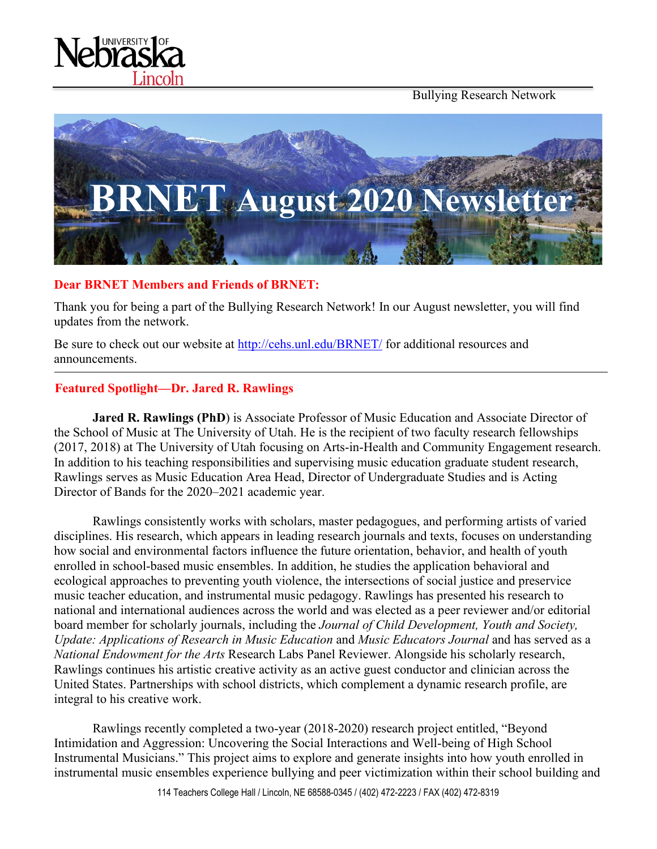Bullying Research Network





#### **Dear BRNET Members and Friends of BRNET:**

Thank you for being a part of the Bullying Research Network! In our August newsletter, you will find updates from the network.

Be sure to check out our website at<http://cehs.unl.edu/BRNET/> for additional resources and announcements.

#### **Featured Spotlight—Dr. Jared R. Rawlings**

**Jared R. Rawlings (PhD)** is Associate Professor of Music Education and Associate Director of the School of Music at The University of Utah. He is the recipient of two faculty research fellowships (2017, 2018) at The University of Utah focusing on Arts-in-Health and Community Engagement research. In addition to his teaching responsibilities and supervising music education graduate student research, Rawlings serves as Music Education Area Head, Director of Undergraduate Studies and is Acting Director of Bands for the 2020–2021 academic year.

Rawlings consistently works with scholars, master pedagogues, and performing artists of varied disciplines. His research, which appears in leading research journals and texts, focuses on understanding how social and environmental factors influence the future orientation, behavior, and health of youth enrolled in school-based music ensembles. In addition, he studies the application behavioral and ecological approaches to preventing youth violence, the intersections of social justice and preservice music teacher education, and instrumental music pedagogy. Rawlings has presented his research to national and international audiences across the world and was elected as a peer reviewer and/or editorial board member for scholarly journals, including the *Journal of Child Development, Youth and Society, Update: Applications of Research in Music Education* and *Music Educators Journal* and has served as a *National Endowment for the Arts* Research Labs Panel Reviewer. Alongside his scholarly research, Rawlings continues his artistic creative activity as an active guest conductor and clinician across the United States. Partnerships with school districts, which complement a dynamic research profile, are integral to his creative work.

Rawlings recently completed a two-year (2018-2020) research project entitled, "Beyond Intimidation and Aggression: Uncovering the Social Interactions and Well-being of High School Instrumental Musicians." This project aims to explore and generate insights into how youth enrolled in instrumental music ensembles experience bullying and peer victimization within their school building and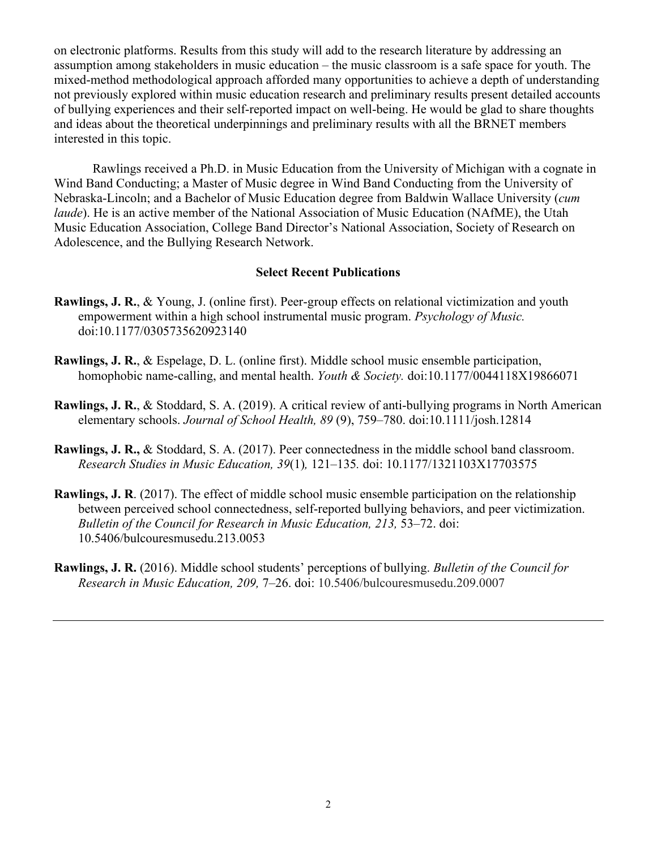on electronic platforms. Results from this study will add to the research literature by addressing an assumption among stakeholders in music education – the music classroom is a safe space for youth. The mixed-method methodological approach afforded many opportunities to achieve a depth of understanding not previously explored within music education research and preliminary results present detailed accounts of bullying experiences and their self-reported impact on well-being. He would be glad to share thoughts and ideas about the theoretical underpinnings and preliminary results with all the BRNET members interested in this topic.

Rawlings received a Ph.D. in Music Education from the University of Michigan with a cognate in Wind Band Conducting; a Master of Music degree in Wind Band Conducting from the University of Nebraska-Lincoln; and a Bachelor of Music Education degree from Baldwin Wallace University (*cum laude*). He is an active member of the National Association of Music Education (NAfME), the Utah Music Education Association, College Band Director's National Association, Society of Research on Adolescence, and the Bullying Research Network.

#### **Select Recent Publications**

- **Rawlings, J. R.**, & Young, J. (online first). Peer-group effects on relational victimization and youth empowerment within a high school instrumental music program. *Psychology of Music.*  doi:10.1177/0305735620923140
- **Rawlings, J. R.**, & Espelage, D. L. (online first). Middle school music ensemble participation, homophobic name-calling, and mental health. *Youth & Society.* doi:10.1177/0044118X19866071
- **Rawlings, J. R.**, & Stoddard, S. A. (2019). A critical review of anti-bullying programs in North American elementary schools. *Journal of School Health, 89* (9), 759–780. doi:10.1111/josh.12814
- **Rawlings, J. R.,** & Stoddard, S. A. (2017). Peer connectedness in the middle school band classroom. *Research Studies in Music Education, 39*(1)*,* 121–135*.* doi: 10.1177/1321103X17703575
- **Rawlings, J. R**. (2017). The effect of middle school music ensemble participation on the relationship between perceived school connectedness, self-reported bullying behaviors, and peer victimization. *Bulletin of the Council for Research in Music Education, 213, 53-72. doi:* 10.5406/bulcouresmusedu.213.0053
- **Rawlings, J. R.** (2016). Middle school students' perceptions of bullying. *Bulletin of the Council for Research in Music Education, 209,* 7–26. doi: 10.5406/bulcouresmusedu.209.0007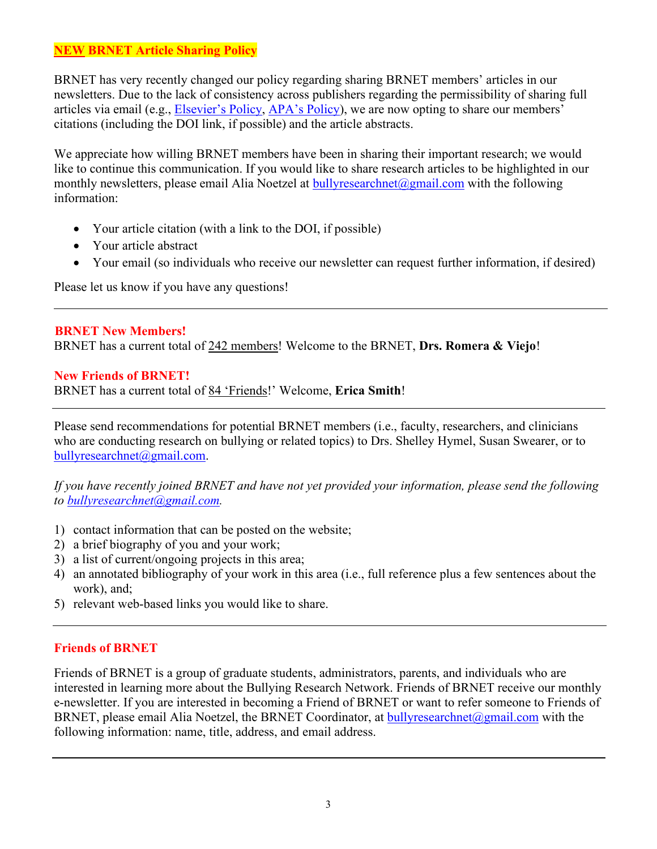## **NEW BRNET Article Sharing Policy**

BRNET has very recently changed our policy regarding sharing BRNET members' articles in our newsletters. Due to the lack of consistency across publishers regarding the permissibility of sharing full articles via email (e.g., [Elsevier's Policy,](https://www.elsevier.com/authors/journal-authors/submit-your-paper/sharing-and-promoting-your-article) [APA's Policy\)](https://www.apa.org/about/contact/copyright/), we are now opting to share our members' citations (including the DOI link, if possible) and the article abstracts.

We appreciate how willing BRNET members have been in sharing their important research; we would like to continue this communication. If you would like to share research articles to be highlighted in our monthly newsletters, please email Alia Noetzel at [bullyresearchnet@gmail.com](mailto:bullyresearchnet@gmail.com) with the following information:

- Your article citation (with a link to the DOI, if possible)
- Your article abstract
- Your email (so individuals who receive our newsletter can request further information, if desired)

Please let us know if you have any questions!

#### **BRNET New Members!** BRNET has a current total of 242 members! Welcome to the BRNET, **Drs. Romera & Viejo**!

#### **New Friends of BRNET!**

BRNET has a current total of 84 'Friends!' Welcome, **Erica Smith**!

Please send recommendations for potential BRNET members (i.e., faculty, researchers, and clinicians who are conducting research on bullying or related topics) to Drs. Shelley Hymel, Susan Swearer, or to [bullyresearchnet@gmail.com.](mailto:bullyresearchnet@gmail.com)

*If you have recently joined BRNET and have not yet provided your information, please send the following to [bullyresearchnet@gmail.com.](mailto:bullyresearchnet@gmail.com)*

- 1) contact information that can be posted on the website;
- 2) a brief biography of you and your work;
- 3) a list of current/ongoing projects in this area;
- 4) an annotated bibliography of your work in this area (i.e., full reference plus a few sentences about the work), and;
- 5) relevant web-based links you would like to share.

### **Friends of BRNET**

Friends of BRNET is a group of graduate students, administrators, parents, and individuals who are interested in learning more about the Bullying Research Network. Friends of BRNET receive our monthly e-newsletter. If you are interested in becoming a Friend of BRNET or want to refer someone to Friends of BRNET, please email Alia Noetzel, the BRNET Coordinator, at [bullyresearchnet@gmail.com](mailto:bullyresearchnet@gmail.com) with the following information: name, title, address, and email address.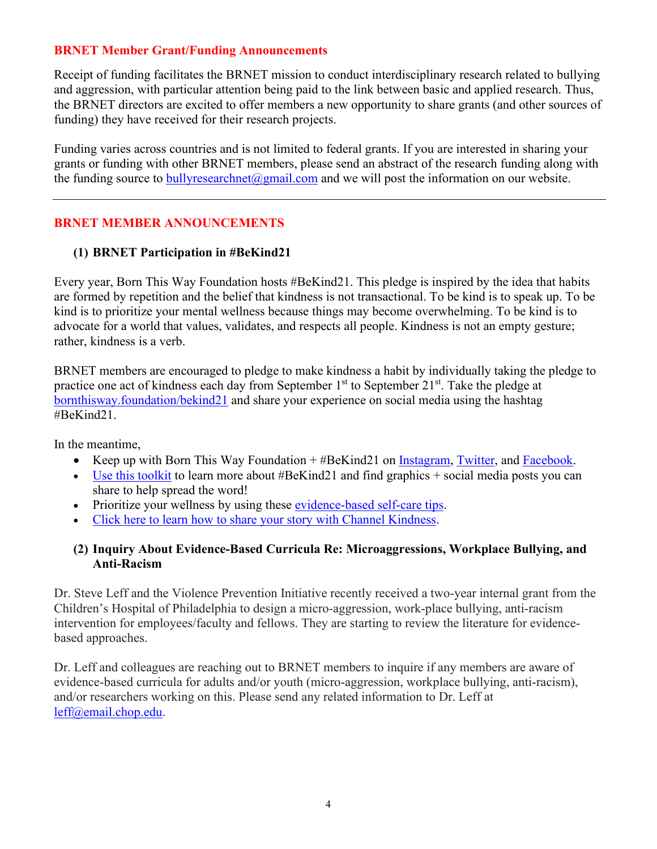## **BRNET Member Grant/Funding Announcements**

Receipt of funding facilitates the BRNET mission to conduct interdisciplinary research related to bullying and aggression, with particular attention being paid to the link between basic and applied research. Thus, the BRNET directors are excited to offer members a new opportunity to share grants (and other sources of funding) they have received for their research projects.

Funding varies across countries and is not limited to federal grants. If you are interested in sharing your grants or funding with other BRNET members, please send an abstract of the research funding along with the funding source to bully research net  $\omega$  gmail.com and we will post the information on our website.

## **BRNET MEMBER ANNOUNCEMENTS**

### **(1) BRNET Participation in #BeKind21**

Every year, Born This Way Foundation hosts #BeKind21. This pledge is inspired by the idea that habits are formed by repetition and the belief that kindness is not transactional. To be kind is to speak up. To be kind is to prioritize your mental wellness because things may become overwhelming. To be kind is to advocate for a world that values, validates, and respects all people. Kindness is not an empty gesture; rather, kindness is a verb.

BRNET members are encouraged to pledge to make kindness a habit by individually taking the pledge to practice one act of kindness each day from September 1<sup>st</sup> to September 21<sup>st</sup>. Take the pledge at bornthisway.foundation/bekind21 and share your experience on social media using the hashtag #BeKind21.

In the meantime,

- Keep up with Born This Way Foundation + #BeKind21 on [Instagram,](https://urldefense.proofpoint.com/v2/url?u=http-3A__instagram.com_btwfoundation_&d=DwMCaQ&c=Cu5g146wZdoqVuKpTNsYHeFX_rg6kWhlkLF8Eft-wwo&r=pI0lFozHaxmMWrG4uSj7Ng&m=RMQmIf_cmbY8Qe5mS0ixICY6izh6AugPuCDjt84dvNk&s=fGZt3iCQyQUInKgsshsNfZtmY_ldBzQJLb_YejC13q8&e=) [Twitter,](https://urldefense.proofpoint.com/v2/url?u=http-3A__twitter.com_btwfoundation&d=DwMCaQ&c=Cu5g146wZdoqVuKpTNsYHeFX_rg6kWhlkLF8Eft-wwo&r=pI0lFozHaxmMWrG4uSj7Ng&m=RMQmIf_cmbY8Qe5mS0ixICY6izh6AugPuCDjt84dvNk&s=9Z8ob1MAIRDcZPGeGqarVaaQ_lb6EKs7hnS3H46uoPE&e=) and [Facebook.](https://urldefense.proofpoint.com/v2/url?u=http-3A__facebook.com_bornthiswayfoundation_&d=DwMCaQ&c=Cu5g146wZdoqVuKpTNsYHeFX_rg6kWhlkLF8Eft-wwo&r=pI0lFozHaxmMWrG4uSj7Ng&m=RMQmIf_cmbY8Qe5mS0ixICY6izh6AugPuCDjt84dvNk&s=zxVuScs-uDdtqRQbOtfRnAOp8pJYFqQKz8CIGQQHxzQ&e=)
- Use this [toolkit](https://urldefense.proofpoint.com/v2/url?u=https-3A__docs.google.com_presentation_d_1WsPyUsWQsKQF2eJdVtUsMBsZOwDYAZ0l7GURAG1o11M_edit-3Fusp-3Dsharing&d=DwMCaQ&c=Cu5g146wZdoqVuKpTNsYHeFX_rg6kWhlkLF8Eft-wwo&r=pI0lFozHaxmMWrG4uSj7Ng&m=RMQmIf_cmbY8Qe5mS0ixICY6izh6AugPuCDjt84dvNk&s=8VRY-VUTK99y1F6UjCyEzzqztnw0OhzSBOA-4hof0E8&e=) to learn more about #BeKind21 and find graphics + social media posts you can share to help spread the word!
- Prioritize your wellness by using these [evidence-based](https://urldefense.proofpoint.com/v2/url?u=https-3A__bornthisway.foundation_self-2Dcare-2Dtips_&d=DwMCaQ&c=Cu5g146wZdoqVuKpTNsYHeFX_rg6kWhlkLF8Eft-wwo&r=pI0lFozHaxmMWrG4uSj7Ng&m=RMQmIf_cmbY8Qe5mS0ixICY6izh6AugPuCDjt84dvNk&s=te0PyAqhut7-Nqqe13LqcKQMm59GCVohG6HrmsDFfvY&e=) self-care tips.
- Click here to learn how to share your story with Channel [Kindness.](https://urldefense.proofpoint.com/v2/url?u=https-3A__www.channelkindness.org_calling-2Dall-2Dstorytellers_&d=DwMCaQ&c=Cu5g146wZdoqVuKpTNsYHeFX_rg6kWhlkLF8Eft-wwo&r=pI0lFozHaxmMWrG4uSj7Ng&m=RMQmIf_cmbY8Qe5mS0ixICY6izh6AugPuCDjt84dvNk&s=jtHDQwNgktbzDLTfxJWOUl5hXn4ys9o0jC0flDS-aPY&e=)

## **(2) Inquiry About Evidence-Based Curricula Re: Microaggressions, Workplace Bullying, and Anti-Racism**

Dr. Steve Leff and the Violence Prevention Initiative recently received a two-year internal grant from the Children's Hospital of Philadelphia to design a micro-aggression, work-place bullying, anti-racism intervention for employees/faculty and fellows. They are starting to review the literature for evidencebased approaches.

Dr. Leff and colleagues are reaching out to BRNET members to inquire if any members are aware of evidence-based curricula for adults and/or youth (micro-aggression, workplace bullying, anti-racism), and/or researchers working on this. Please send any related information to Dr. Leff at [leff@email.chop.edu.](mailto:leff@email.chop.edu)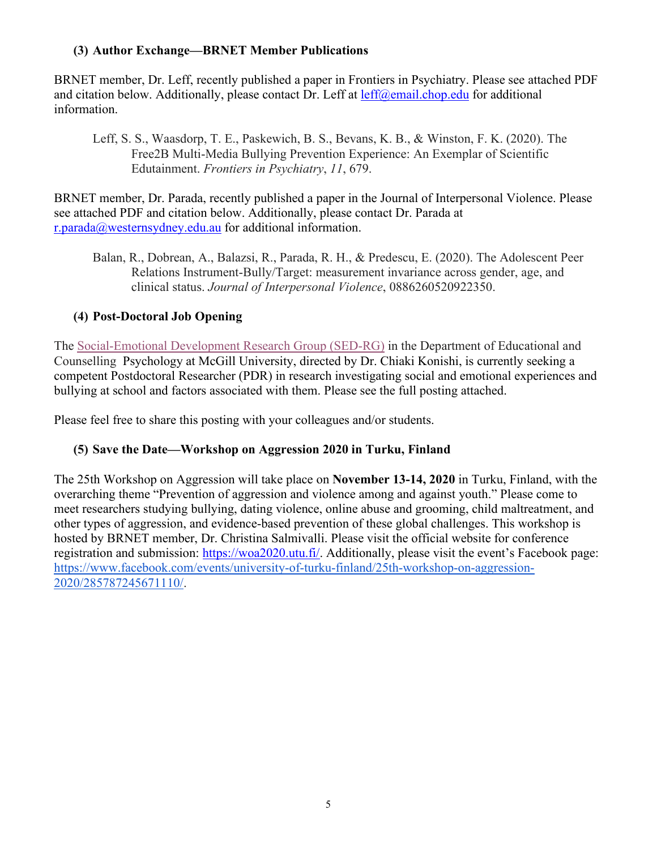## **(3) Author Exchange—BRNET Member Publications**

BRNET member, Dr. Leff, recently published a paper in Frontiers in Psychiatry. Please see attached PDF and citation below. Additionally, please contact Dr. Leff at  $\text{left}(\partial \text{c} \text{mail}.\text{chop.edu}$  for additional information.

Leff, S. S., Waasdorp, T. E., Paskewich, B. S., Bevans, K. B., & Winston, F. K. (2020). The Free2B Multi-Media Bullying Prevention Experience: An Exemplar of Scientific Edutainment. *Frontiers in Psychiatry*, *11*, 679.

BRNET member, Dr. Parada, recently published a paper in the Journal of Interpersonal Violence. Please see attached PDF and citation below. Additionally, please contact Dr. Parada at [r.parada@westernsydney.edu.au](mailto:r.parada@westernsydney.edu.au) for additional information.

Balan, R., Dobrean, A., Balazsi, R., Parada, R. H., & Predescu, E. (2020). The Adolescent Peer Relations Instrument-Bully/Target: measurement invariance across gender, age, and clinical status. *Journal of Interpersonal Violence*, 0886260520922350.

# **(4) Post-Doctoral Job Opening**

The [Social-Emotional Development Research Group \(SED-RG\)](http://sedrg.ca/) in the Department of Educational and Counselling Psychology at McGill University, directed by Dr. Chiaki Konishi, is currently seeking a competent Postdoctoral Researcher (PDR) in research investigating social and emotional experiences and bullying at school and factors associated with them. Please see the full posting attached.

Please feel free to share this posting with your colleagues and/or students.

# **(5) Save the Date—Workshop on Aggression 2020 in Turku, Finland**

The 25th Workshop on Aggression will take place on **November 13-14, 2020** in Turku, Finland, with the overarching theme "Prevention of aggression and violence among and against youth." Please come to meet researchers studying bullying, dating violence, online abuse and grooming, child maltreatment, and other types of aggression, and evidence-based prevention of these global challenges. This workshop is hosted by BRNET member, Dr. Christina Salmivalli. Please visit the official website for conference registration and submission: [https://woa2020.utu.fi/.](https://woa2020.utu.fi/) Additionally, please visit the event's Facebook page: [https://www.facebook.com/events/university-of-turku-finland/25th-workshop-on-aggression-](https://urldefense.proofpoint.com/v2/url?u=https-3A__www.facebook.com_events_university-2Dof-2Dturku-2Dfinland_25th-2Dworkshop-2Don-2Daggression-2D2020_285787245671110_&d=DwMGaQ&c=Cu5g146wZdoqVuKpTNsYHeFX_rg6kWhlkLF8Eft-wwo&r=cXoPjE5bhAYAw7UpUbU1OVNKQBjHq0uZTOrbgqFBDIg&m=N9kY2MP9kLPFtbMzLgqPoHnMwVSFAbi6eDqUNPPswoA&s=LClm3KxyW0zDFPvK9dKOSrnI3LMSxG_Gb-RUb7WNpE8&e=)[2020/285787245671110/.](https://urldefense.proofpoint.com/v2/url?u=https-3A__www.facebook.com_events_university-2Dof-2Dturku-2Dfinland_25th-2Dworkshop-2Don-2Daggression-2D2020_285787245671110_&d=DwMGaQ&c=Cu5g146wZdoqVuKpTNsYHeFX_rg6kWhlkLF8Eft-wwo&r=cXoPjE5bhAYAw7UpUbU1OVNKQBjHq0uZTOrbgqFBDIg&m=N9kY2MP9kLPFtbMzLgqPoHnMwVSFAbi6eDqUNPPswoA&s=LClm3KxyW0zDFPvK9dKOSrnI3LMSxG_Gb-RUb7WNpE8&e=)